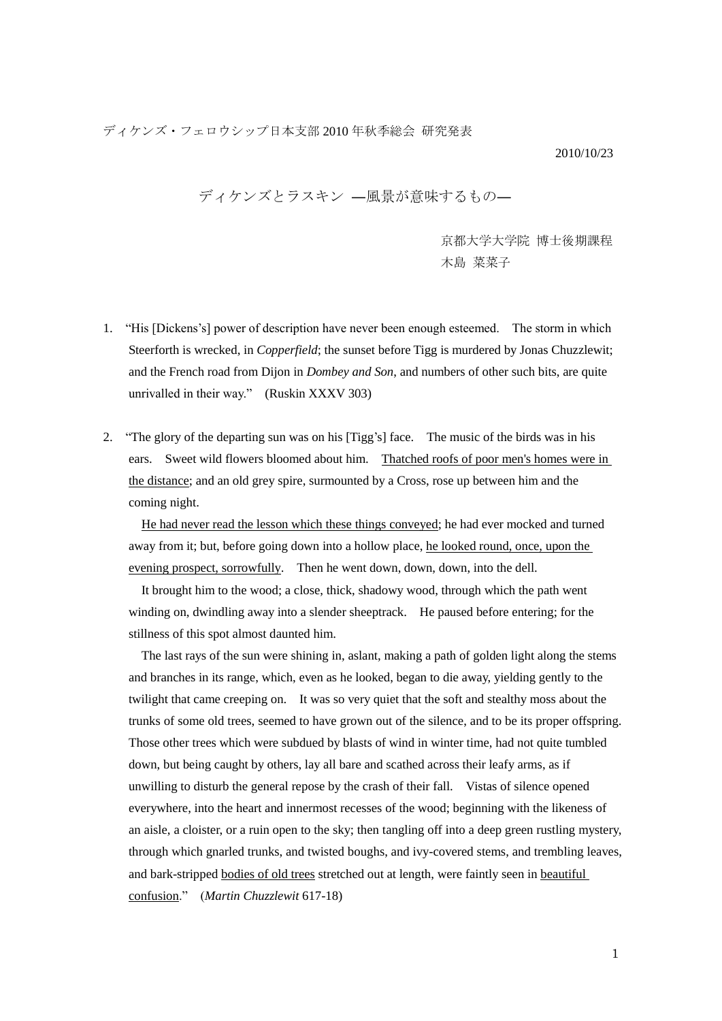ディケンズ・フェロウシップ日本支部 2010 年秋季総会 研究発表

2010/10/23

ディケンズとラスキン ―風景が意味するもの―

 京都大学大学院 博士後期課程 木島 菜菜子

- 1. "His [Dickens"s] power of description have never been enough esteemed. The storm in which Steerforth is wrecked, in *Copperfield*; the sunset before Tigg is murdered by Jonas Chuzzlewit; and the French road from Dijon in *Dombey and Son*, and numbers of other such bits, are quite unrivalled in their way." (Ruskin XXXV 303)
- 2. "The glory of the departing sun was on his [Tigg"s] face. The music of the birds was in his ears. Sweet wild flowers bloomed about him. Thatched roofs of poor men's homes were in the distance; and an old grey spire, surmounted by a Cross, rose up between him and the coming night.

He had never read the lesson which these things conveyed; he had ever mocked and turned away from it; but, before going down into a hollow place, he looked round, once, upon the evening prospect, sorrowfully. Then he went down, down, down, into the dell.

It brought him to the wood; a close, thick, shadowy wood, through which the path went winding on, dwindling away into a slender sheeptrack. He paused before entering; for the stillness of this spot almost daunted him.

The last rays of the sun were shining in, aslant, making a path of golden light along the stems and branches in its range, which, even as he looked, began to die away, yielding gently to the twilight that came creeping on. It was so very quiet that the soft and stealthy moss about the trunks of some old trees, seemed to have grown out of the silence, and to be its proper offspring. Those other trees which were subdued by blasts of wind in winter time, had not quite tumbled down, but being caught by others, lay all bare and scathed across their leafy arms, as if unwilling to disturb the general repose by the crash of their fall. Vistas of silence opened everywhere, into the heart and innermost recesses of the wood; beginning with the likeness of an aisle, a cloister, or a ruin open to the sky; then tangling off into a deep green rustling mystery, through which gnarled trunks, and twisted boughs, and ivy-covered stems, and trembling leaves, and bark-stripped bodies of old trees stretched out at length, were faintly seen in beautiful confusion." (*Martin Chuzzlewit* 617-18)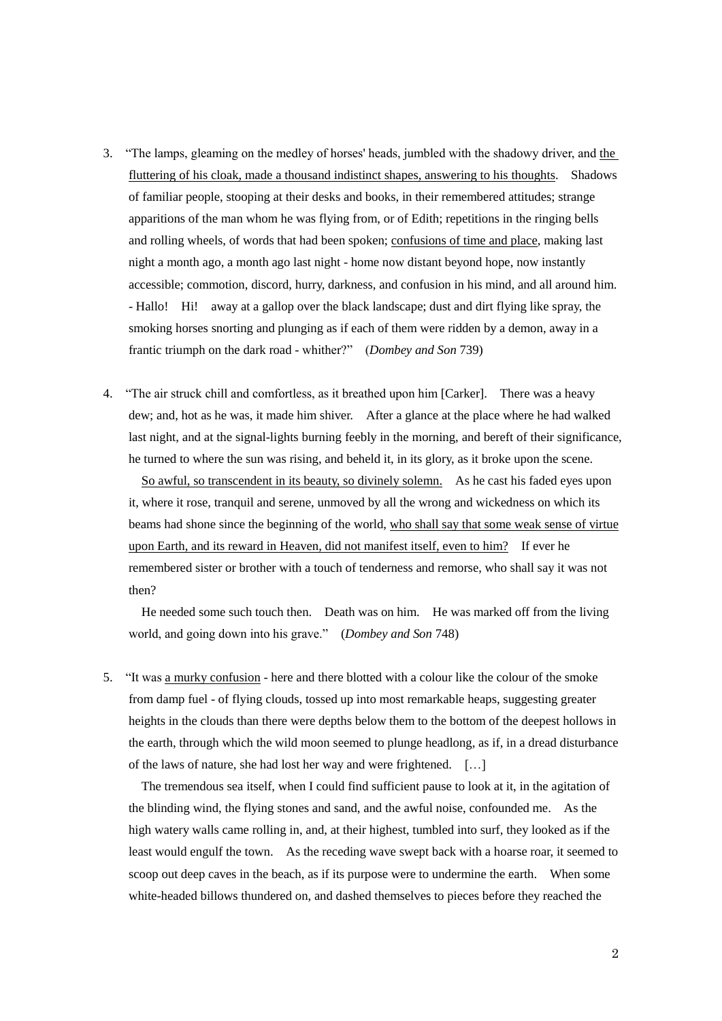- 3. "The lamps, gleaming on the medley of horses' heads, jumbled with the shadowy driver, and the fluttering of his cloak, made a thousand indistinct shapes, answering to his thoughts. Shadows of familiar people, stooping at their desks and books, in their remembered attitudes; strange apparitions of the man whom he was flying from, or of Edith; repetitions in the ringing bells and rolling wheels, of words that had been spoken; confusions of time and place, making last night a month ago, a month ago last night - home now distant beyond hope, now instantly accessible; commotion, discord, hurry, darkness, and confusion in his mind, and all around him. - Hallo! Hi! away at a gallop over the black landscape; dust and dirt flying like spray, the smoking horses snorting and plunging as if each of them were ridden by a demon, away in a frantic triumph on the dark road - whither?" (*Dombey and Son* 739)
- 4. "The air struck chill and comfortless, as it breathed upon him [Carker]. There was a heavy dew; and, hot as he was, it made him shiver. After a glance at the place where he had walked last night, and at the signal-lights burning feebly in the morning, and bereft of their significance, he turned to where the sun was rising, and beheld it, in its glory, as it broke upon the scene.

 So awful, so transcendent in its beauty, so divinely solemn. As he cast his faded eyes upon it, where it rose, tranquil and serene, unmoved by all the wrong and wickedness on which its beams had shone since the beginning of the world, who shall say that some weak sense of virtue upon Earth, and its reward in Heaven, did not manifest itself, even to him? If ever he remembered sister or brother with a touch of tenderness and remorse, who shall say it was not then?

 He needed some such touch then. Death was on him. He was marked off from the living world, and going down into his grave." (*Dombey and Son* 748)

5. "It was a murky confusion - here and there blotted with a colour like the colour of the smoke from damp fuel - of flying clouds, tossed up into most remarkable heaps, suggesting greater heights in the clouds than there were depths below them to the bottom of the deepest hollows in the earth, through which the wild moon seemed to plunge headlong, as if, in a dread disturbance of the laws of nature, she had lost her way and were frightened. […]

 The tremendous sea itself, when I could find sufficient pause to look at it, in the agitation of the blinding wind, the flying stones and sand, and the awful noise, confounded me. As the high watery walls came rolling in, and, at their highest, tumbled into surf, they looked as if the least would engulf the town. As the receding wave swept back with a hoarse roar, it seemed to scoop out deep caves in the beach, as if its purpose were to undermine the earth. When some white-headed billows thundered on, and dashed themselves to pieces before they reached the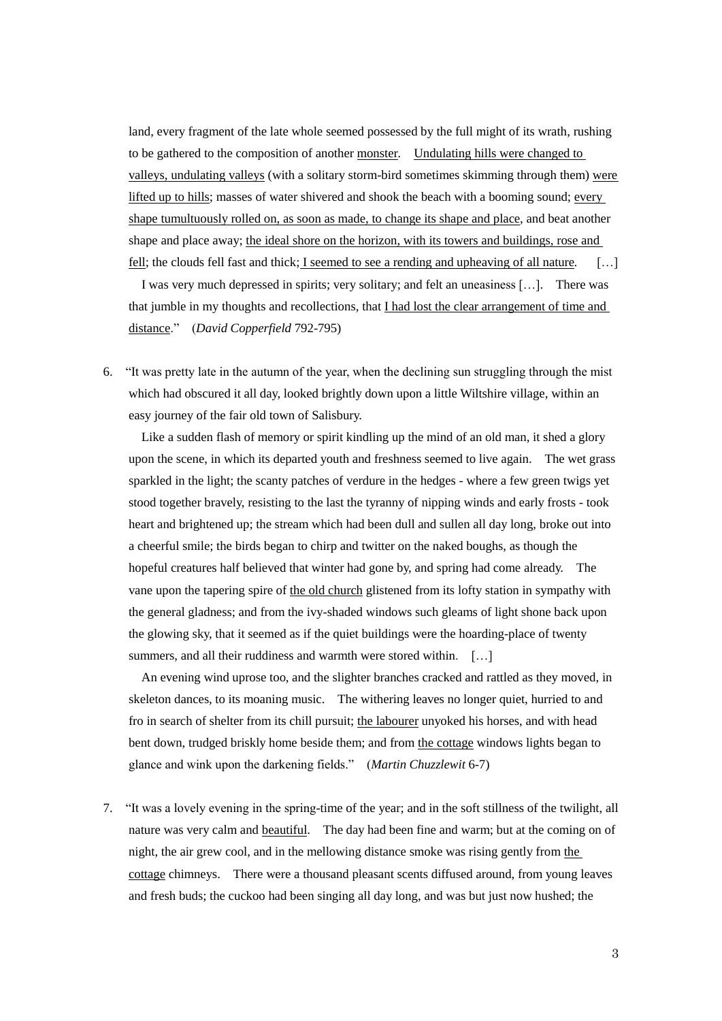land, every fragment of the late whole seemed possessed by the full might of its wrath, rushing to be gathered to the composition of another monster*.* Undulating hills were changed to valleys, undulating valleys (with a solitary storm-bird sometimes skimming through them) were lifted up to hills; masses of water shivered and shook the beach with a booming sound; every shape tumultuously rolled on, as soon as made, to change its shape and place, and beat another shape and place away; the ideal shore on the horizon, with its towers and buildings, rose and fell; the clouds fell fast and thick; I seemed to see a rending and upheaving of all nature*.* […]

 I was very much depressed in spirits; very solitary; and felt an uneasiness […]. There was that jumble in my thoughts and recollections, that I had lost the clear arrangement of time and distance." (*David Copperfield* 792-795)

6. "It was pretty late in the autumn of the year, when the declining sun struggling through the mist which had obscured it all day, looked brightly down upon a little Wiltshire village, within an easy journey of the fair old town of Salisbury.

Like a sudden flash of memory or spirit kindling up the mind of an old man, it shed a glory upon the scene, in which its departed youth and freshness seemed to live again. The wet grass sparkled in the light; the scanty patches of verdure in the hedges - where a few green twigs yet stood together bravely, resisting to the last the tyranny of nipping winds and early frosts - took heart and brightened up; the stream which had been dull and sullen all day long, broke out into a cheerful smile; the birds began to chirp and twitter on the naked boughs, as though the hopeful creatures half believed that winter had gone by, and spring had come already. The vane upon the tapering spire of the old church glistened from its lofty station in sympathy with the general gladness; and from the ivy-shaded windows such gleams of light shone back upon the glowing sky, that it seemed as if the quiet buildings were the hoarding-place of twenty summers, and all their ruddiness and warmth were stored within. [...]

An evening wind uprose too, and the slighter branches cracked and rattled as they moved, in skeleton dances, to its moaning music. The withering leaves no longer quiet, hurried to and fro in search of shelter from its chill pursuit; the labourer unyoked his horses, and with head bent down, trudged briskly home beside them; and from the cottage windows lights began to glance and wink upon the darkening fields." (*Martin Chuzzlewit* 6-7)

7. "It was a lovely evening in the spring-time of the year; and in the soft stillness of the twilight, all nature was very calm and beautiful. The day had been fine and warm; but at the coming on of night, the air grew cool, and in the mellowing distance smoke was rising gently from the cottage chimneys. There were a thousand pleasant scents diffused around, from young leaves and fresh buds; the cuckoo had been singing all day long, and was but just now hushed; the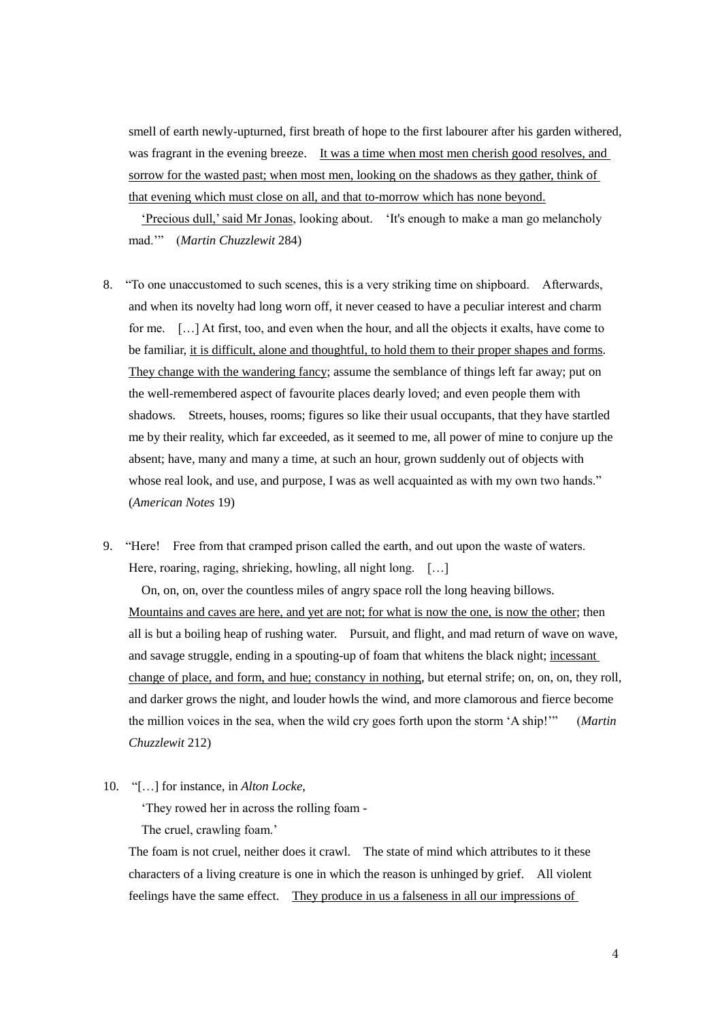smell of earth newly-upturned, first breath of hope to the first labourer after his garden withered, was fragrant in the evening breeze. It was a time when most men cherish good resolves, and sorrow for the wasted past; when most men, looking on the shadows as they gather, think of that evening which must close on all, and that to-morrow which has none beyond.

"Precious dull," said Mr Jonas, looking about. "It's enough to make a man go melancholy mad."" (*Martin Chuzzlewit* 284)

- 8. "To one unaccustomed to such scenes, this is a very striking time on shipboard. Afterwards, and when its novelty had long worn off, it never ceased to have a peculiar interest and charm for me. […] At first, too, and even when the hour, and all the objects it exalts, have come to be familiar, it is difficult, alone and thoughtful, to hold them to their proper shapes and forms. They change with the wandering fancy; assume the semblance of things left far away; put on the well-remembered aspect of favourite places dearly loved; and even people them with shadows. Streets, houses, rooms; figures so like their usual occupants, that they have startled me by their reality, which far exceeded, as it seemed to me, all power of mine to conjure up the absent; have, many and many a time, at such an hour, grown suddenly out of objects with whose real look, and use, and purpose, I was as well acquainted as with my own two hands." (*American Notes* 19)
- 9. "Here! Free from that cramped prison called the earth, and out upon the waste of waters. Here, roaring, raging, shrieking, howling, all night long. [...]

On, on, on, over the countless miles of angry space roll the long heaving billows. Mountains and caves are here, and yet are not; for what is now the one, is now the other; then all is but a boiling heap of rushing water. Pursuit, and flight, and mad return of wave on wave, and savage struggle, ending in a spouting-up of foam that whitens the black night; incessant change of place, and form, and hue; constancy in nothing, but eternal strife; on, on, on, they roll, and darker grows the night, and louder howls the wind, and more clamorous and fierce become the million voices in the sea, when the wild cry goes forth upon the storm "A ship!"" (*Martin Chuzzlewit* 212)

10. "[…] for instance, in *Alton Locke*,

"They rowed her in across the rolling foam -

The cruel, crawling foam.'

The foam is not cruel, neither does it crawl. The state of mind which attributes to it these characters of a living creature is one in which the reason is unhinged by grief. All violent feelings have the same effect. They produce in us a falseness in all our impressions of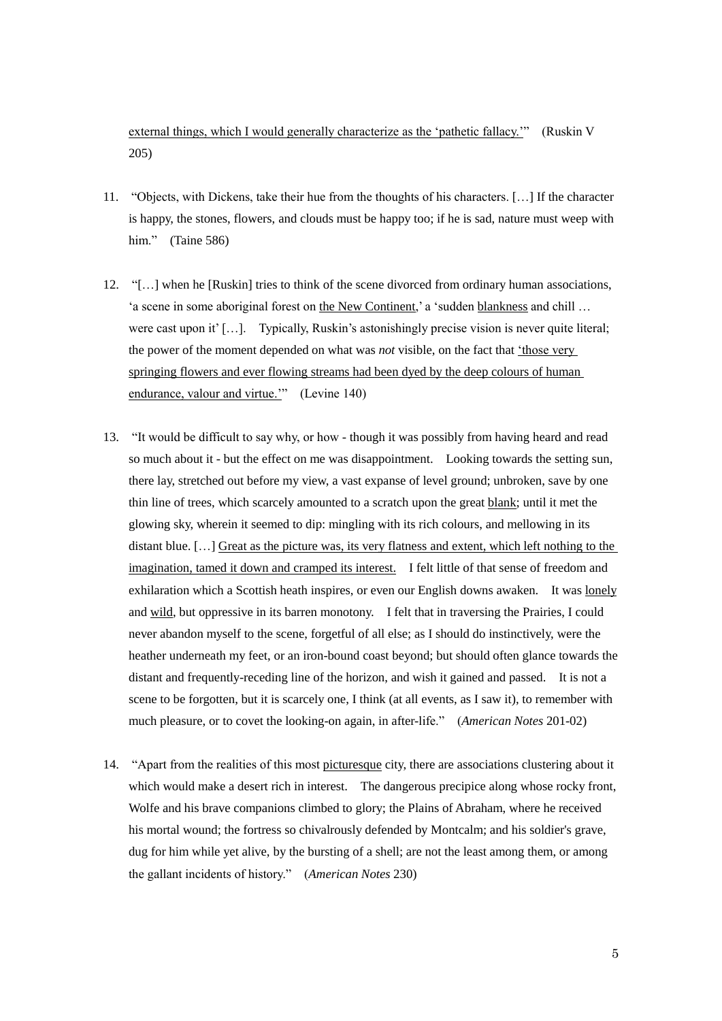external things, which I would generally characterize as the "pathetic fallacy."" (Ruskin V 205)

- 11. "Objects, with Dickens, take their hue from the thoughts of his characters. […] If the character is happy, the stones, flowers, and clouds must be happy too; if he is sad, nature must weep with him." (Taine 586)
- 12. "[…] when he [Ruskin] tries to think of the scene divorced from ordinary human associations, 'a scene in some aboriginal forest on the New Continent,' a 'sudden blankness and chill ... were cast upon it' […]. Typically, Ruskin's astonishingly precise vision is never quite literal; the power of the moment depended on what was *not* visible, on the fact that "those very springing flowers and ever flowing streams had been dyed by the deep colours of human endurance, valour and virtue."" (Levine 140)
- 13. "It would be difficult to say why, or how though it was possibly from having heard and read so much about it - but the effect on me was disappointment. Looking towards the setting sun, there lay, stretched out before my view, a vast expanse of level ground; unbroken, save by one thin line of trees, which scarcely amounted to a scratch upon the great blank; until it met the glowing sky, wherein it seemed to dip: mingling with its rich colours, and mellowing in its distant blue. […] Great as the picture was, its very flatness and extent, which left nothing to the imagination, tamed it down and cramped its interest. I felt little of that sense of freedom and exhilaration which a Scottish heath inspires, or even our English downs awaken. It was lonely and wild, but oppressive in its barren monotony. I felt that in traversing the Prairies, I could never abandon myself to the scene, forgetful of all else; as I should do instinctively, were the heather underneath my feet, or an iron-bound coast beyond; but should often glance towards the distant and frequently-receding line of the horizon, and wish it gained and passed. It is not a scene to be forgotten, but it is scarcely one, I think (at all events, as I saw it), to remember with much pleasure, or to covet the looking-on again, in after-life." (*American Notes* 201-02)
- 14. "Apart from the realities of this most picturesque city, there are associations clustering about it which would make a desert rich in interest. The dangerous precipice along whose rocky front, Wolfe and his brave companions climbed to glory; the Plains of Abraham, where he received his mortal wound; the fortress so chivalrously defended by Montcalm; and his soldier's grave, dug for him while yet alive, by the bursting of a shell; are not the least among them, or among the gallant incidents of history." (*American Notes* 230)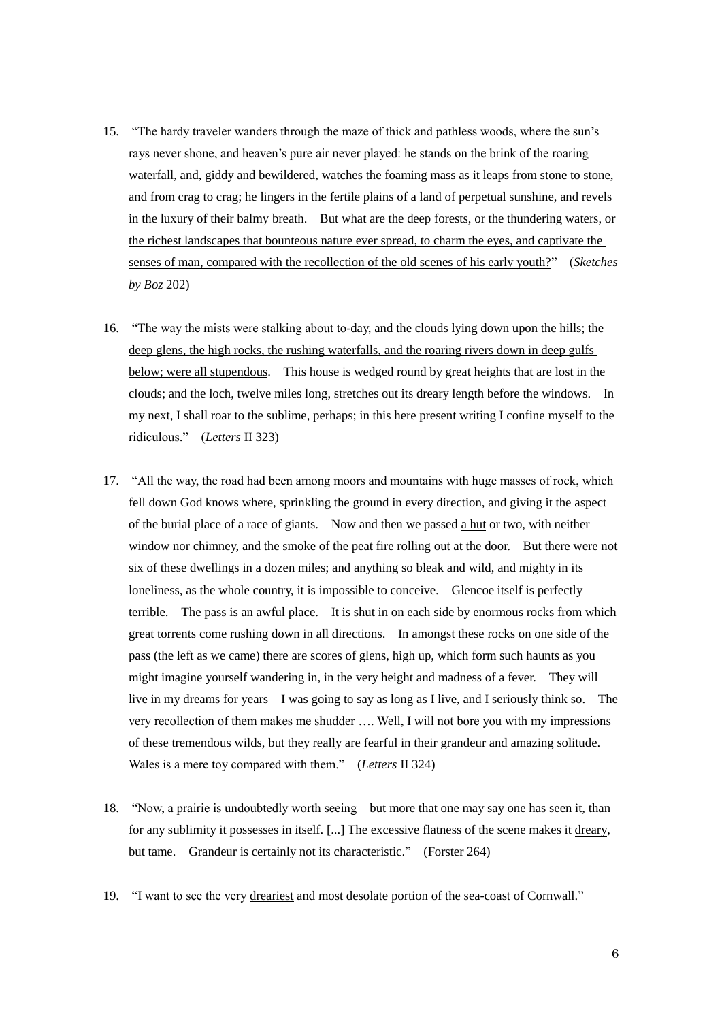- 15. "The hardy traveler wanders through the maze of thick and pathless woods, where the sun"s rays never shone, and heaven"s pure air never played: he stands on the brink of the roaring waterfall, and, giddy and bewildered, watches the foaming mass as it leaps from stone to stone, and from crag to crag; he lingers in the fertile plains of a land of perpetual sunshine, and revels in the luxury of their balmy breath. But what are the deep forests, or the thundering waters, or the richest landscapes that bounteous nature ever spread, to charm the eyes, and captivate the senses of man, compared with the recollection of the old scenes of his early youth?" (*Sketches by Boz* 202)
- 16. "The way the mists were stalking about to-day, and the clouds lying down upon the hills; the deep glens, the high rocks, the rushing waterfalls, and the roaring rivers down in deep gulfs below; were all stupendous. This house is wedged round by great heights that are lost in the clouds; and the loch, twelve miles long, stretches out its dreary length before the windows. In my next, I shall roar to the sublime, perhaps; in this here present writing I confine myself to the ridiculous." (*Letters* II 323)
- 17. "All the way, the road had been among moors and mountains with huge masses of rock, which fell down God knows where, sprinkling the ground in every direction, and giving it the aspect of the burial place of a race of giants. Now and then we passed a hut or two, with neither window nor chimney, and the smoke of the peat fire rolling out at the door. But there were not six of these dwellings in a dozen miles; and anything so bleak and wild, and mighty in its loneliness, as the whole country, it is impossible to conceive. Glencoe itself is perfectly terrible. The pass is an awful place. It is shut in on each side by enormous rocks from which great torrents come rushing down in all directions. In amongst these rocks on one side of the pass (the left as we came) there are scores of glens, high up, which form such haunts as you might imagine yourself wandering in, in the very height and madness of a fever. They will live in my dreams for years – I was going to say as long as I live, and I seriously think so. The very recollection of them makes me shudder …. Well, I will not bore you with my impressions of these tremendous wilds, but they really are fearful in their grandeur and amazing solitude. Wales is a mere toy compared with them." (*Letters* II 324)
- 18. "Now, a prairie is undoubtedly worth seeing but more that one may say one has seen it, than for any sublimity it possesses in itself. [...] The excessive flatness of the scene makes it dreary, but tame. Grandeur is certainly not its characteristic." (Forster 264)
- 19. "I want to see the very dreariest and most desolate portion of the sea-coast of Cornwall."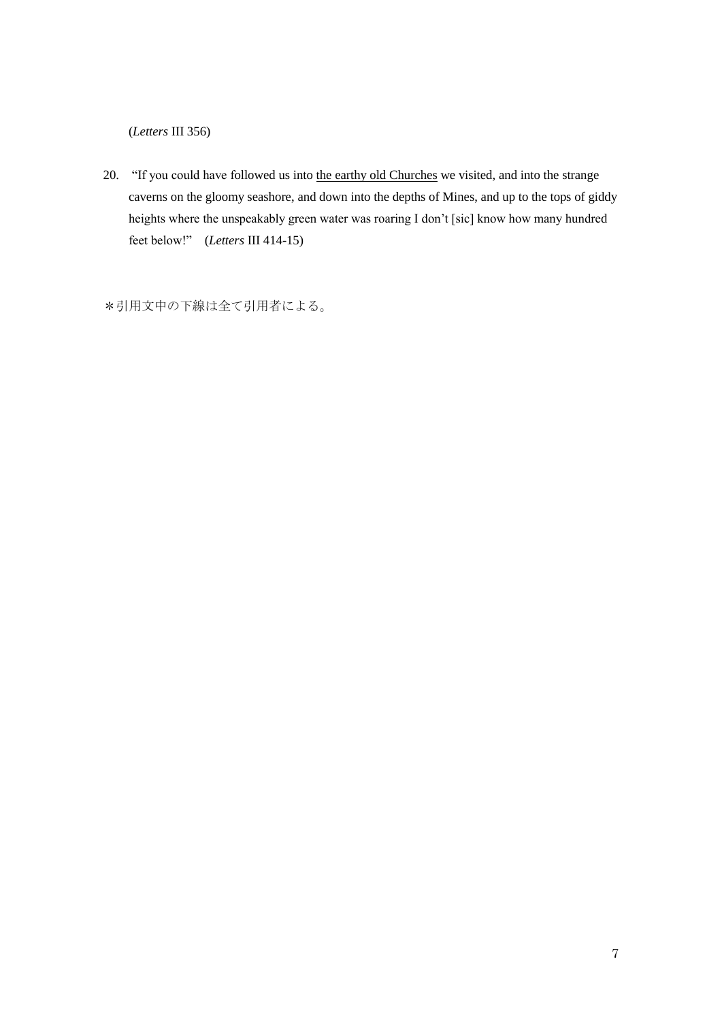(*Letters* III 356)

20. "If you could have followed us into the earthy old Churches we visited, and into the strange caverns on the gloomy seashore, and down into the depths of Mines, and up to the tops of giddy heights where the unspeakably green water was roaring I don't [sic] know how many hundred feet below!" (*Letters* III 414-15)

\*引用文中の下線は全て引用者による。